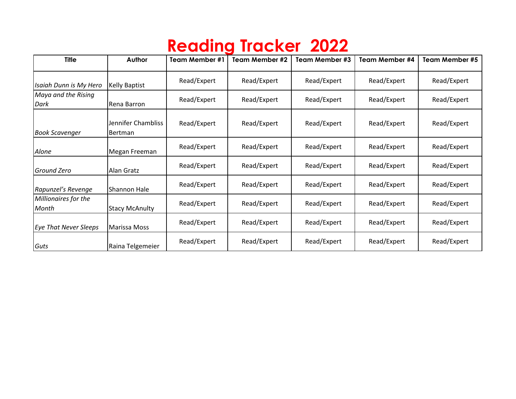## **Reading Tracker 2022**

| <b>Title</b>                  | Author                               | <b>Team Member #1</b> | Team Member #2 | Team Member #3 | Team Member #4 | Team Member #5 |
|-------------------------------|--------------------------------------|-----------------------|----------------|----------------|----------------|----------------|
| Isaiah Dunn is My Hero        | <b>Kelly Baptist</b>                 | Read/Expert           | Read/Expert    | Read/Expert    | Read/Expert    | Read/Expert    |
| Maya and the Rising<br>Dark   | Rena Barron                          | Read/Expert           | Read/Expert    | Read/Expert    | Read/Expert    | Read/Expert    |
| <b>Book Scavenger</b>         | Jennifer Chambliss<br><b>Bertman</b> | Read/Expert           | Read/Expert    | Read/Expert    | Read/Expert    | Read/Expert    |
| Alone                         | Megan Freeman                        | Read/Expert           | Read/Expert    | Read/Expert    | Read/Expert    | Read/Expert    |
| Ground Zero                   | Alan Gratz                           | Read/Expert           | Read/Expert    | Read/Expert    | Read/Expert    | Read/Expert    |
| Rapunzel's Revenge            | Shannon Hale                         | Read/Expert           | Read/Expert    | Read/Expert    | Read/Expert    | Read/Expert    |
| Millionaires for the<br>Month | <b>Stacy McAnulty</b>                | Read/Expert           | Read/Expert    | Read/Expert    | Read/Expert    | Read/Expert    |
| <b>Eye That Never Sleeps</b>  | Marissa Moss                         | Read/Expert           | Read/Expert    | Read/Expert    | Read/Expert    | Read/Expert    |
| Guts                          | Raina Telgemeier                     | Read/Expert           | Read/Expert    | Read/Expert    | Read/Expert    | Read/Expert    |